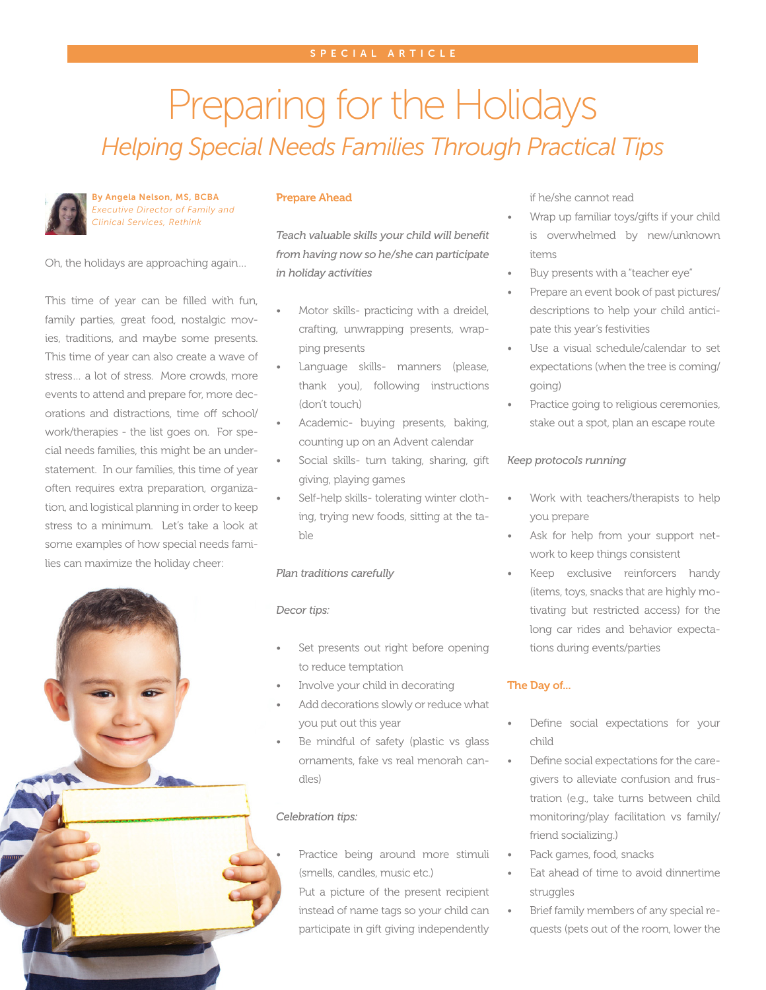# Preparing for the Holidays *Helping Special Needs Families Through Practical Tips*



By Angela Nelson, MS, BCBA *Executive Director of Family and Clinical Services, Rethink*

Oh, the holidays are approaching again…

This time of year can be filled with fun, family parties, great food, nostalgic movies, traditions, and maybe some presents. This time of year can also create a wave of stress… a lot of stress. More crowds, more events to attend and prepare for, more decorations and distractions, time off school/ work/therapies - the list goes on. For special needs families, this might be an understatement. In our families, this time of year often requires extra preparation, organization, and logistical planning in order to keep stress to a minimum. Let's take a look at some examples of how special needs families can maximize the holiday cheer:



### Prepare Ahead

*Teach valuable skills your child will benefit from having now so he/she can participate in holiday activities*

- Motor skills- practicing with a dreidel, crafting, unwrapping presents, wrapping presents
- Language skills- manners (please, thank you), following instructions (don't touch)
- Academic- buying presents, baking, counting up on an Advent calendar
- Social skills- turn taking, sharing, gift giving, playing games
- Self-help skills- tolerating winter clothing, trying new foods, sitting at the table

## *Plan traditions carefully*

#### *Decor tips:*

- Set presents out right before opening to reduce temptation
- Involve your child in decorating
- Add decorations slowly or reduce what you put out this year
- Be mindful of safety (plastic vs glass ornaments, fake vs real menorah candles)

## *Celebration tips:*

Practice being around more stimuli (smells, candles, music etc.)

Put a picture of the present recipient instead of name tags so your child can participate in gift giving independently

if he/she cannot read

- Wrap up familiar toys/gifts if your child is overwhelmed by new/unknown items
- Buy presents with a "teacher eye"
- Prepare an event book of past pictures/ descriptions to help your child anticipate this year's festivities
- Use a visual schedule/calendar to set expectations (when the tree is coming/ going)
- Practice going to religious ceremonies, stake out a spot, plan an escape route

## *Keep protocols running*

- Work with teachers/therapists to help you prepare
- Ask for help from your support network to keep things consistent
- Keep exclusive reinforcers handy (items, toys, snacks that are highly motivating but restricted access) for the long car rides and behavior expectations during events/parties

#### The Day of...

- Define social expectations for your child
- Define social expectations for the caregivers to alleviate confusion and frustration (e.g., take turns between child monitoring/play facilitation vs family/ friend socializing.)
- Pack games, food, snacks
- Eat ahead of time to avoid dinnertime struggles
- Brief family members of any special requests (pets out of the room, lower the